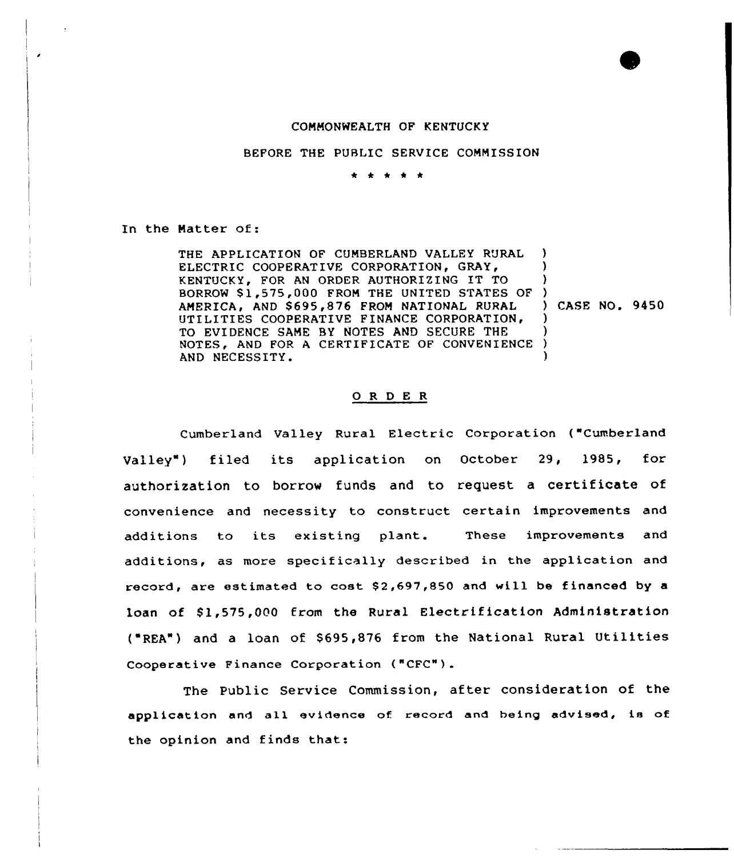## COMMONWEALTH OF KENTUCKY

BEFORE THE PUBLIC SERVICE COMMISSION

\* \* \* \* \*

In the Matter of:

THE APPLICATION OF CUMBERLAND VALLEY RURAL ELECTRIC COOPERATIVE CORPORATION, GRAY, KENTUCKY, FOR AN ORDER AUTHORIZING IT TO BORROW \$1,575,000 FROM THE UNITED STATES OF ) AMERICA, AND \$695,876 FROM NATIONAL RURAL UTILITIES COOPERATIVE FINANCE CORPORATION, TO EVIDENCE SAME BY NOTES AND SECURE THE NOTES, AND FOR <sup>A</sup> CERTIFICATE OF CONVENIENCE AND NECESSITY. ) ) ) ) ) ) )

) CASE NO. 9450

## 0 <sup>R</sup> <sup>D</sup> <sup>E</sup> <sup>R</sup>

Cumberland Valley Rural Electric Corporation ("Cumberland Valley") filed its application on October 29, 1985, for authorization to borrow funds and to request <sup>a</sup> certificate of convenience and necessity to construct certain improvements and additions to its existing plant. These improvements and additions, as more specifically described in the application and record, are estimated to cost  $$2,697,850$  and will be financed by a loan of \$1,575,000 from the Rural Electrification Administration ('REA") and <sup>a</sup> loan of \$695,876 from the National Rural Utilities Cooperative Finance Corporation ("CFC"}.

The Public Service Commission, after consideration of the application and all evidence of record and being advised, is of the opinion and finds that: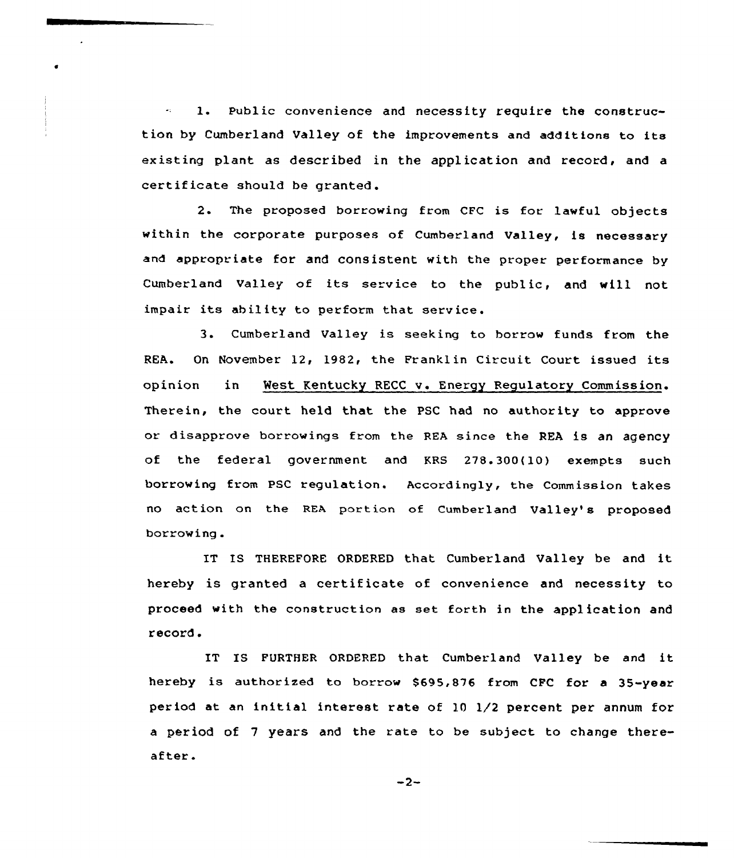1. Public convenience and necessity require the construction by Cumberland Valley of the improvements and additions to its existing plant as described in the application and record, and a certif icate should be granted.

2. The proposed borrowing from CFC is for lawful objects within the corporate purposes of Cumberland Valley, is necessary and appropriate for and consistent with the proper performance by Cumberland Valley of its service to the public, and will not impair its ability to perform that service.

3. Cumberland Valley is seeking to borrow funds from the REA. On November 12, 1982, the Franklin Circuit Court issued its opinion in West Kentucky RECC v. Energy Regulatory Commission. Therein, the court held that the PSC had no authority to approve or disapprove borrowings from the REA since the REA is an agency of the federal government and KRS 278.300(10) exempts such borrowing from PSC regulation. Accordingly, the Commission takes no action on the REA portion of Cumberland Valley's proposed borrowing.

IT IS THEREFORE ORDERED that Cumberland Valley be and it hereby is granted a certificate of convenience and necessity to proceed with the construction as set forth in the application and record.

IT IS FURTHER ORDERED that Cumberland Valley be and it hereby is authorized to borrow \$695,876 from CFC for <sup>a</sup> 35-year period at an initial interest rate of 10 1/2 percent per annum for a period of <sup>7</sup> years and the rate to be subject to change thereafter.

 $-2-$